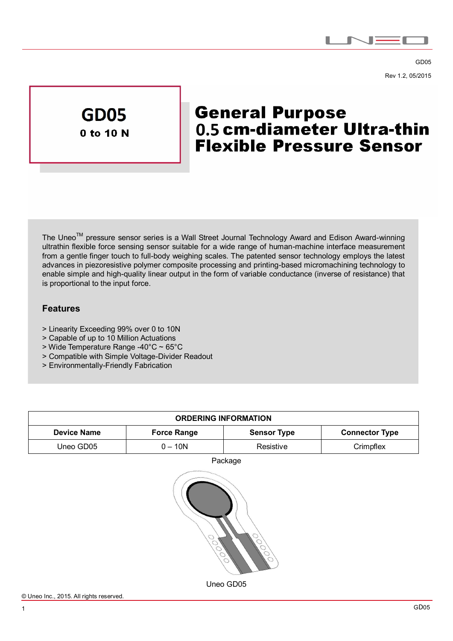

GD05 Rev 1.2, 05/2015



# **General Purpose** 0.5 cm-diameter Ultra-thin **Flexible Pressure Sensor**

The Uneo<sup>™</sup> pressure sensor series is a Wall Street Journal Technology Award and Edison Award-winning ultrathin flexible force sensing sensor suitable for a wide range of human-machine interface measurement from a gentle finger touch to full-body weighing scales. The patented sensor technology employs the latest advances in piezoresistive polymer composite processing and printing-based micromachining technology to enable simple and high-quality linear output in the form of variable conductance (inverse of resistance) that is proportional to the input force.

## **Features**

 $\overline{a}$ 

- > Linearity Exceeding 99% over 0 to 10N
- > Capable of up to 10 Million Actuations
- > Wide Temperature Range -40°C ~ 65°C
- > Compatible with Simple Voltage-Divider Readout
- > Environmentally-Friendly Fabrication

| <b>ORDERING INFORMATION</b> |                    |                    |                       |
|-----------------------------|--------------------|--------------------|-----------------------|
| <b>Device Name</b>          | <b>Force Range</b> | <b>Sensor Type</b> | <b>Connector Type</b> |
| Uneo GD05                   | $0 - 10N$          | Resistive          | Crimpflex             |
|                             |                    | Package            |                       |
|                             |                    | Uneo GD05          |                       |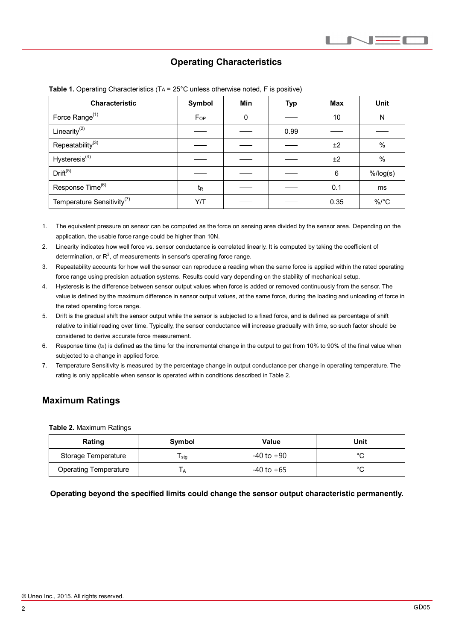# **Operating Characteristics**

| Characteristic                         | Symbol         | <b>Min</b> | <b>Typ</b> | <b>Max</b> | <b>Unit</b> |
|----------------------------------------|----------------|------------|------------|------------|-------------|
| Force Range <sup>(1)</sup>             | $F_{OP}$       | 0          |            | 10         | N           |
| Linearity <sup>(2)</sup>               |                |            | 0.99       |            |             |
| Repeatability <sup>(3)</sup>           |                |            |            | ±2         | $\%$        |
| Hysteresis <sup>(4)</sup>              |                |            |            | ±2         | $\%$        |
| Drift <sup>(5)</sup>                   |                |            |            | 6          | $%$ /log(s) |
| Response Time <sup>(6)</sup>           | t <sub>R</sub> |            |            | 0.1        | ms          |
| Temperature Sensitivity <sup>(7)</sup> | Y/T            |            |            | 0.35       | $\%$ /°C    |

|  |  |  | <b>Table 1.</b> Operating Characteristics ( $TA = 25^{\circ}C$ unless otherwise noted, F is positive) |  |  |
|--|--|--|-------------------------------------------------------------------------------------------------------|--|--|
|--|--|--|-------------------------------------------------------------------------------------------------------|--|--|

1. The equivalent pressure on sensor can be computed as the force on sensing area divided by the sensor area. Depending on the application, the usable force range could be higher than 10N.

- 2. Linearity indicates how well force vs. sensor conductance is correlated linearly. It is computed by taking the coefficient of determination, or  $R^2$ , of measurements in sensor's operating force range.
- 3. Repeatability accounts for how well the sensor can reproduce a reading when the same force is applied within the rated operating force range using precision actuation systems. Results could vary depending on the stability of mechanical setup.
- 4. Hysteresis is the difference between sensor output values when force is added or removed continuously from the sensor. The value is defined by the maximum difference in sensor output values, at the same force, during the loading and unloading of force in the rated operating force range.
- 5. Drift is the gradual shift the sensor output while the sensor is subjected to a fixed force, and is defined as percentage of shift relative to initial reading over time. Typically, the sensor conductance will increase gradually with time, so such factor should be considered to derive accurate force measurement.
- 6. Response time  $(t_R)$  is defined as the time for the incremental change in the output to get from 10% to 90% of the final value when subjected to a change in applied force.
- 7. Temperature Sensitivity is measured by the percentage change in output conductance per change in operating temperature. The rating is only applicable when sensor is operated within conditions described in Table 2.

# **Maximum Ratings**

**Table 2.** Maximum Ratings

| Rating                       | Symbol         | Value      | Unit   |  |
|------------------------------|----------------|------------|--------|--|
| Storage Temperature          | stg            | -40 to +90 | $\sim$ |  |
| <b>Operating Temperature</b> | $\mathsf{I}$ A | -40 to +65 | $\sim$ |  |

**Operating beyond the specified limits could change the sensor output characteristic permanently.**

 $\overline{a}$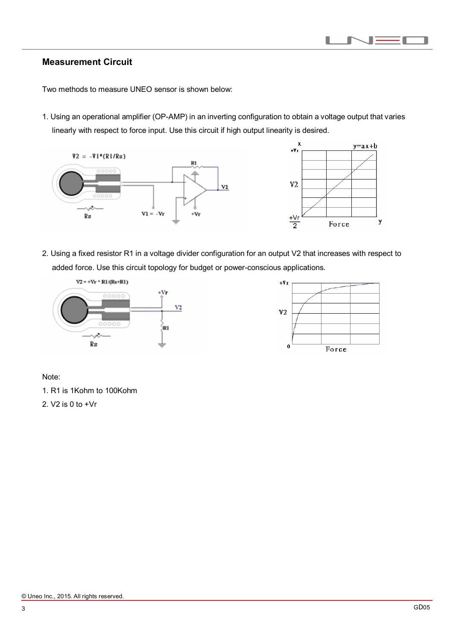#### H  $\Box$ п

### **Measurement Circuit**

 $\overline{a}$ 

Two methods to measure UNEO sensor is shown below:

1. Using an operational amplifier (OP-AMP) in an inverting configuration to obtain a voltage output that varies linearly with respect to force input. Use this circuit if high output linearity is desired.





2. Using a fixed resistor R1 in a voltage divider configuration for an output V2 that increases with respect to added force. Use this circuit topology for budget or power-conscious applications.





Note:

1. R1 is 1Kohm to 100Kohm

2. V2 is 0 to +Vr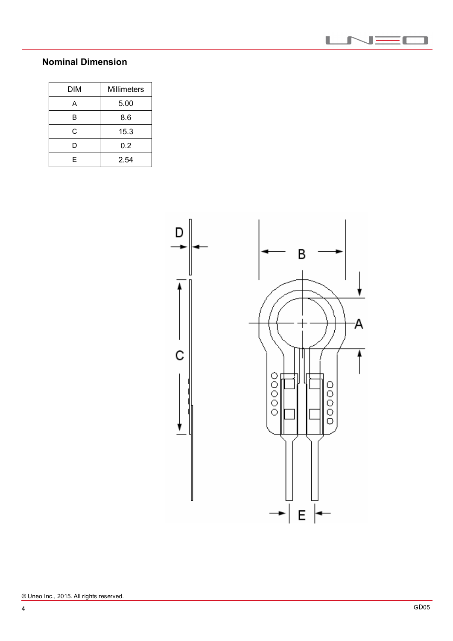

# **Nominal Dimension**

 $\overline{a}$ 

| <b>DIM</b> | <b>Millimeters</b> |  |
|------------|--------------------|--|
|            | 5.00               |  |
| в          | 8.6                |  |
| C.         | 15.3               |  |
| D          | 0.2                |  |
| F          | 2.54               |  |